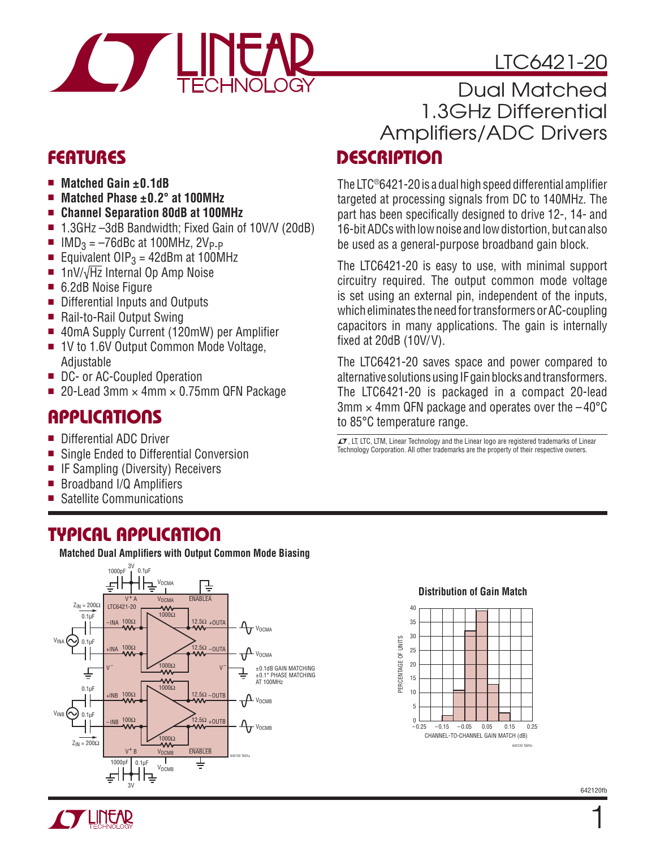



### **FEATURES**

- Matched Gain ±0.1dB
- Matched Phase ±0.2° at 100MHz
- <sup>n</sup> **Channel Separation 80dB at 100MHz**
- 1.3GHz –3dB Bandwidth; Fixed Gain of 10V/V (20dB)
- $\blacksquare$  IMD<sub>3</sub> = –76dBc at 100MHz, 2V<sub>P-P</sub>
- Equivalent OIP<sub>3</sub> = 42dBm at 100MHz
- 1nV/ $\sqrt{Hz}$  Internal Op Amp Noise
- 6.2dB Noise Figure
- Differential Inputs and Outputs
- $\blacksquare$  Rail-to-Rail Output Swing
- 40mA Supply Current (120mW) per Amplifier
- 1V to 1.6V Output Common Mode Voltage, **Adjustable**
- DC- or AC-Coupled Operation
- 20-Lead 3mm  $\times$  4mm  $\times$  0.75mm QFN Package

## **APPLICATIONS**

- Differential ADC Driver
- Single Ended to Differential Conversion
- **F** IF Sampling (Diversity) Receivers
- $\blacksquare$  Broadband I/Q Amplifiers
- Satellite Communications

### **TYPICAL APPLICATION**

**Matched Dual Amplifiers with Output Common Mode Biasing** 



#### **DESCRIPTION** Dual Matched 1.3GHz Differential Amplifiers/ADC Drivers

The LTC®6421-20 is a dual high speed differential amplifier targeted at processing signals from DC to 140MHz. The part has been specifically designed to drive 12-, 14- and 16-bit ADCs with low noise and low distortion, but can also be used as a general-purpose broadband gain block.

The LTC6421-20 is easy to use, with minimal support circuitry required. The output common mode voltage is set using an external pin, independent of the inputs, which eliminates the need for transformers or AC-coupling capacitors in many applications. The gain is internally fixed at  $20dB$  (10V/V).

The LTC6421-20 saves space and power compared to alternative solutions using IF gain blocks and transformers. The LTC6421-20 is packaged in a compact 20-lead  $3$ mm  $\times$  4mm QFN package and operates over the  $-40^{\circ}$ C to 85°C temperature range.

 $LT$ , LT, LTC, LTM, Linear Technology and the Linear logo are registered trademarks of Linear Technology Corporation. All other trademarks are the property of their respective owners.





1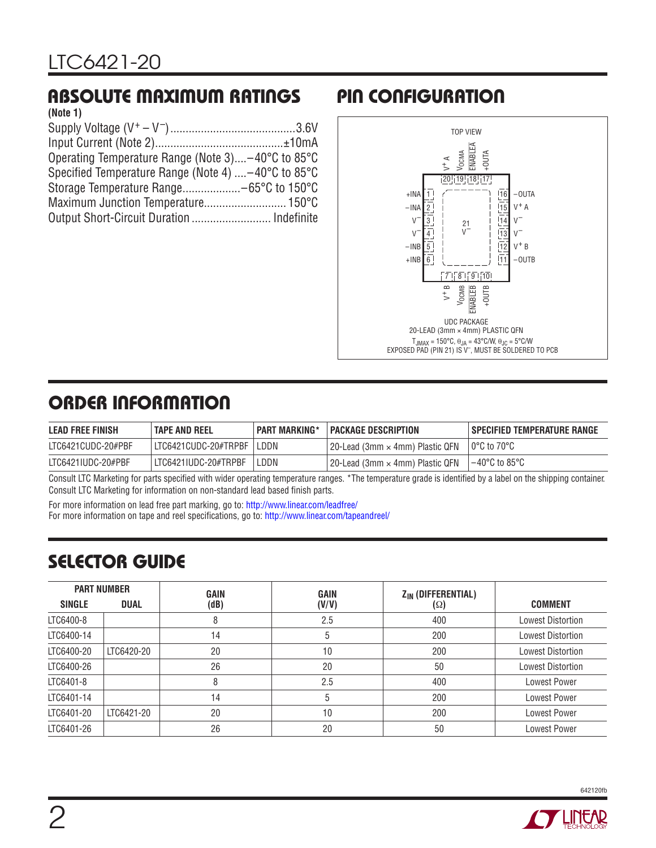## **ABSOLUTE MAXIMUM RATINGS**

| (Note 1)                                            |  |
|-----------------------------------------------------|--|
|                                                     |  |
|                                                     |  |
| Operating Temperature Range (Note 3)-40°C to 85°C   |  |
| Specified Temperature Range (Note 4)  -40°C to 85°C |  |
|                                                     |  |
|                                                     |  |
| Output Short-Circuit Duration  Indefinite           |  |
|                                                     |  |

# **PIN CONFIGURATION**



# **ORDER INFORMATION**

| <b>LEAD FREE FINISH</b> | <b>TAPE AND REEL</b>   | <b>PART MARKING*</b> | <b>PACKAGE DESCRIPTION</b>        | SPECIFIED TEMPERATURE RANGE |
|-------------------------|------------------------|----------------------|-----------------------------------|-----------------------------|
| LTC6421CUDC-20#PBF      | l LTC6421CUDC-20#TRPBF | LDDN -               | l 20-Lead (3mm × 4mm) Plastic QFN | $10^{\circ}$ C to 70°C      |
| LTC6421IUDC-20#PBF      | LIC6421IUDC-20#TRPBF   | LDDN                 | l 20-Lead (3mm × 4mm) Plastic QFN | l –40°C to 85°C             |

Consult LTC Marketing for parts specified with wider operating temperature ranges. \*The temperature grade is identified by a label on the shipping container. Consult LTC Marketing for information on non-standard lead based finish parts.

For more information on lead free part marking, go to:<http://www.linear.com/leadfree/> For more information on tape and reel specifications, go to:<http://www.linear.com/tapeandreel/>

## **SELECTOR GUIDE**

| <b>PART NUMBER</b> |             | GAIN | <b>GAIN</b>  | Z <sub>IN</sub> (DIFFERENTIAL) |                          |
|--------------------|-------------|------|--------------|--------------------------------|--------------------------|
| <b>SINGLE</b>      | <b>DUAL</b> | (dB) | (V/V)        | (Ω)                            | <b>COMMENT</b>           |
| LTC6400-8          |             | 8    | 2.5          | 400                            | <b>Lowest Distortion</b> |
| LTC6400-14         |             | 14   | <sub>5</sub> | 200                            | <b>Lowest Distortion</b> |
| LTC6400-20         | LTC6420-20  | 20   | 10           | 200                            | <b>Lowest Distortion</b> |
| LTC6400-26         |             | 26   | 20           | 50                             | <b>Lowest Distortion</b> |
| LTC6401-8          |             | 8    | 2.5          | 400                            | <b>Lowest Power</b>      |
| LTC6401-14         |             | 14   | b            | 200                            | <b>Lowest Power</b>      |
| LTC6401-20         | LTC6421-20  | 20   | 10           | 200                            | <b>Lowest Power</b>      |
| LTC6401-26         |             | 26   | 20           | 50                             | <b>Lowest Power</b>      |



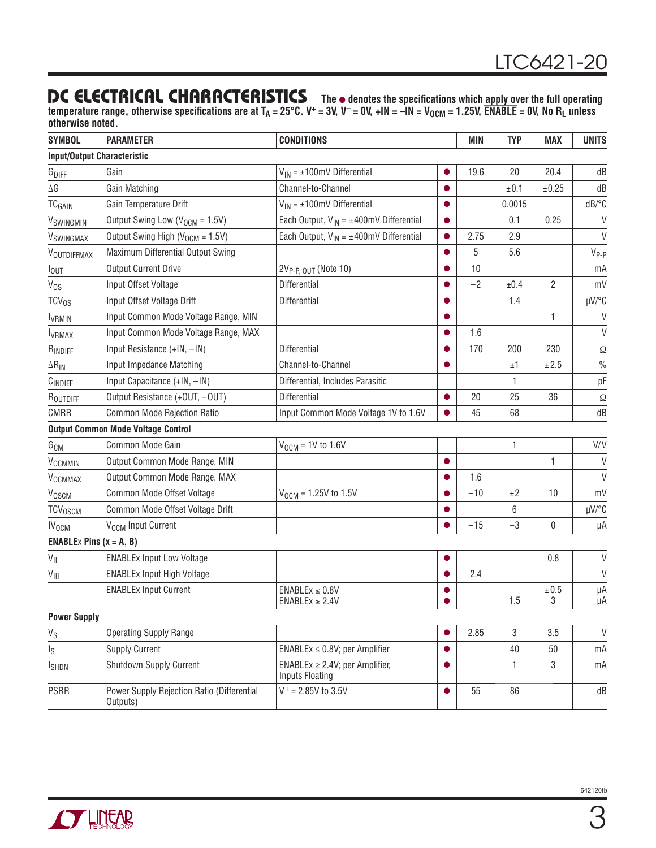#### **DC ELECTRICAL CHARACTERISTICS** The  $\bullet$  denotes the specifications which apply over the full operating

temperature range, otherwise specifications are at T<sub>A</sub> = 25°C. V<sup>+</sup> = 3V, V<sup>-</sup> = 0V, +IN = -IN = V<sub>OCM</sub> = 1.25V,  $\overline{\textsf{ENABLE}}$  = 0V, No R<sub>L</sub> unless **otherwise noted.**

| <b>SYMBOL</b>                              | <b>PARAMETER</b>                                       | <b>CONDITIONS</b>                                                                        |           | <b>MIN</b> | <b>TYP</b>     | <b>MAX</b> | <b>UNITS</b>  |
|--------------------------------------------|--------------------------------------------------------|------------------------------------------------------------------------------------------|-----------|------------|----------------|------------|---------------|
| <b>Input/Output Characteristic</b>         |                                                        |                                                                                          |           |            |                |            |               |
| $G_{\text{DIFF}}$                          | Gain                                                   | $V_{IN} = \pm 100$ mV Differential                                                       | 0         | 19.6       | 20             | 20.4       | dB            |
| $\Delta {\sf G}$                           | Gain Matching                                          | Channel-to-Channel                                                                       |           |            | ±0.1           | ±0.25      | dB            |
| <b>TCGAIN</b>                              | Gain Temperature Drift                                 | $V_{IN} = \pm 100$ mV Differential                                                       | $\bullet$ |            | 0.0015         |            | dB/°C         |
| VSWINGMIN                                  | Output Swing Low (V <sub>OCM</sub> = 1.5V)             | Each Output, $V_{IN} = \pm 400$ mV Differential                                          |           |            | 0.1            | 0.25       | V             |
| VSWINGMAX                                  | Output Swing High (V <sub>OCM</sub> = 1.5V)            | Each Output, $V_{IN} = \pm 400$ mV Differential                                          | $\bullet$ | 2.75       | 2.9            |            | $\vee$        |
| VOUTDIFFMAX                                | Maximum Differential Output Swing                      |                                                                                          |           | 5          | 5.6            |            | $V_{P-P}$     |
| lout                                       | <b>Output Current Drive</b>                            | 2V <sub>P-P, OUT</sub> (Note 10)                                                         | $\bullet$ | 10         |                |            | mA            |
| V <sub>os</sub>                            | Input Offset Voltage                                   | Differential                                                                             |           | $-2$       | ±0.4           | 2          | mV            |
| $TCV_{OS}$                                 | Input Offset Voltage Drift                             | Differential                                                                             | $\bullet$ |            | 1.4            |            | µV/°C         |
| <b>IVRMIN</b>                              | Input Common Mode Voltage Range, MIN                   |                                                                                          |           |            |                | 1          | $\vee$        |
| <b>I</b> VRMAX                             | Input Common Mode Voltage Range, MAX                   |                                                                                          | $\bullet$ | 1.6        |                |            | V             |
| RINDIFF                                    | Input Resistance (+IN, -IN)                            | Differential                                                                             |           | 170        | 200            | 230        | $\Omega$      |
| $\Delta R_{IN}$                            | Input Impedance Matching                               | Channel-to-Channel                                                                       | $\bullet$ |            | ±1             | ±2.5       | $\frac{0}{0}$ |
| CINDIFF                                    | Input Capacitance (+IN, -IN)                           | Differential, Includes Parasitic                                                         |           |            | 1              |            | pF            |
| ROUTDIFF                                   | Output Resistance (+OUT, -OUT)                         | Differential                                                                             | $\bullet$ | 20         | 25             | 36         | Ω             |
| <b>CMRR</b>                                | Common Mode Rejection Ratio                            | Input Common Mode Voltage 1V to 1.6V                                                     |           | 45         | 68             |            | dB            |
|                                            | <b>Output Common Mode Voltage Control</b>              |                                                                                          |           |            |                |            |               |
| G <sub>CM</sub>                            | Common Mode Gain                                       | $V_{OCM}$ = 1V to 1.6V                                                                   |           |            | 1              |            | V/V           |
| VOCMMIN                                    | Output Common Mode Range, MIN                          |                                                                                          | $\bullet$ |            |                | 1          | $\vee$        |
| VOCMMAX                                    | Output Common Mode Range, MAX                          |                                                                                          |           | 1.6        |                |            | $\vee$        |
| VOSCM                                      | Common Mode Offset Voltage                             | $V_{OCM} = 1.25V$ to 1.5V                                                                |           | $-10$      | ±2             | 10         | mV            |
| <b>TCV<sub>OSCM</sub></b>                  | Common Mode Offset Voltage Drift                       |                                                                                          |           |            | 6              |            | µV/°C         |
| <b>IV<sub>OCM</sub></b>                    | V <sub>OCM</sub> Input Current                         |                                                                                          |           | $-15$      | $-3$           | 0          | μA            |
| <b>ENABLE</b> $\times$ Pins ( $x = A, B$ ) |                                                        |                                                                                          |           |            |                |            |               |
| $V_{ L}$                                   | <b>ENABLEX Input Low Voltage</b>                       |                                                                                          | $\bullet$ |            |                | 0.8        | $\vee$        |
| $\mathsf{V}_{\mathsf{IH}}$                 | <b>ENABLEX Input High Voltage</b>                      |                                                                                          |           | 2.4        |                |            | $\vee$        |
|                                            | <b>ENABLEX Input Current</b>                           | $ENABLEX \leq 0.8V$<br>$ENABLEX \geq 2.4V$                                               |           |            | 1.5            | ±0.5<br>3  | μA<br>μA      |
| <b>Power Supply</b>                        |                                                        |                                                                                          |           |            |                |            |               |
| $V_S$                                      | <b>Operating Supply Range</b>                          |                                                                                          |           | 2.85       | $\mathfrak{Z}$ | 3.5        | $\vee$        |
| $I_{\rm S}$                                | <b>Supply Current</b>                                  | $\overline{\text{ENABLEx}} \leq 0.8$ V; per Amplifier                                    | $\bullet$ |            | 40             | 50         | mA            |
| <b>I</b> SHDN                              | Shutdown Supply Current                                | $\overline{\text{ENABLEx}} \geq 2.4 \text{V}$ ; per Amplifier,<br><b>Inputs Floating</b> | $\bullet$ |            | 1.             | 3          | mA            |
| <b>PSRR</b>                                | Power Supply Rejection Ratio (Differential<br>Outputs) | $V^+ = 2.85V$ to 3.5V                                                                    | $\bullet$ | 55         | 86             |            | dB            |

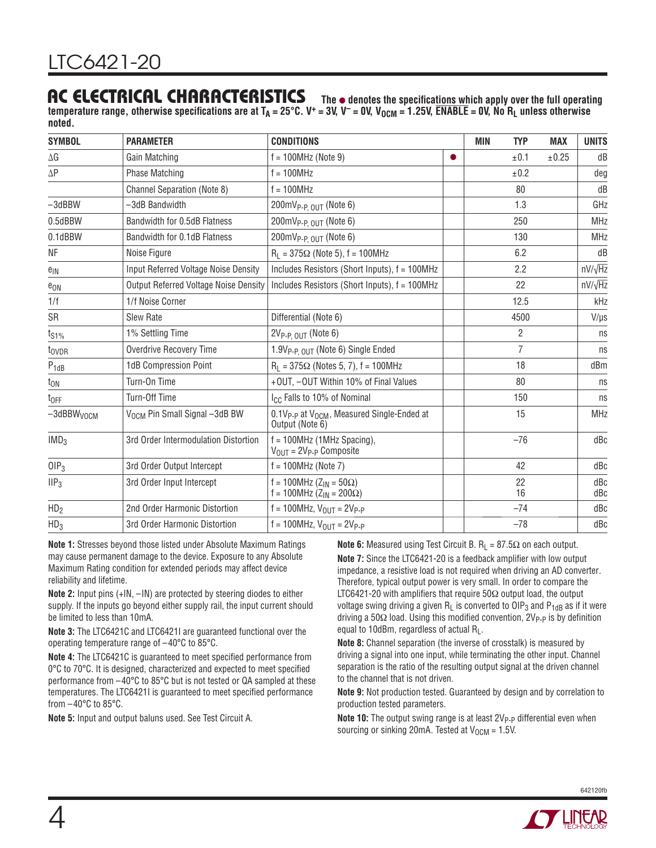#### **AC ELECTRICAL CHARACTERISTICS**

The  $\bullet$  denotes the specifications which apply over the full operating temperature range, otherwise specifications are at  $T_A = 25^{\circ}$ C. V<sup>+</sup> = 3V, V<sup>-</sup> = 0V, V<sub>OCM</sub> = 1.25V,  $\overline{ENABLE}$  = 0V, No R<sub>L</sub> unless otherwise **noted.**

| <b>SYMBOL</b>             | <b>PARAMETER</b>                             | <b>CONDITIONS</b>                                                             |           | MIN<br><b>TYP</b> | <b>MAX</b> | <b>UNITS</b>   |
|---------------------------|----------------------------------------------|-------------------------------------------------------------------------------|-----------|-------------------|------------|----------------|
| ΔG                        | Gain Matching                                | $f = 100 MHz$ (Note 9)                                                        | $\bullet$ | ±0.1              | ±0.25      | dB             |
| $\Delta \mathsf{P}$       | <b>Phase Matching</b>                        | $f = 100 MHz$                                                                 |           | ±0.2              |            | deg            |
|                           | <b>Channel Separation (Note 8)</b>           | $f = 100$ MHz                                                                 |           | 80                |            | dB             |
| $-3$ dBBW                 | -3dB Bandwidth                               | $200 \text{mV}_{P-P, OUT}$ (Note 6)                                           |           | 1.3               |            | GHz            |
| 0.5dBBW                   | Bandwidth for 0.5dB Flatness                 | $200 \text{mV}_{P-P, OUT}$ (Note 6)                                           |           | 250               |            | <b>MHz</b>     |
| 0.1dBBW                   | Bandwidth for 0.1dB Flatness                 | $200 \text{mV}_{P-P. OUT}$ (Note 6)                                           |           | 130               |            | <b>MHz</b>     |
| NF                        | Noise Figure                                 | $R_1 = 375\Omega$ (Note 5), f = 100MHz                                        |           | 6.2               |            | dB             |
| $e_{IN}$                  | Input Referred Voltage Noise Density         | Includes Resistors (Short Inputs), f = 100MHz                                 |           | 2.2               |            | $nV/\sqrt{Hz}$ |
| $e_{ON}$                  | <b>Output Referred Voltage Noise Density</b> | Includes Resistors (Short Inputs), f = 100MHz                                 |           | 22                |            | $nV/\sqrt{Hz}$ |
| 1/f                       | 1/f Noise Corner                             |                                                                               |           | 12.5              |            | kHz            |
| SR                        | Slew Rate                                    | Differential (Note 6)                                                         |           | 4500              |            | $V/\mu s$      |
| t <sub>S1%</sub>          | 1% Settling Time                             | $2V_{P-P. OUT}$ (Note 6)                                                      |           | $\overline{2}$    |            | ns             |
| t <sub>ovdr</sub>         | <b>Overdrive Recovery Time</b>               | 1.9V <sub>P-P OUT</sub> (Note 6) Single Ended                                 |           | $\overline{7}$    |            | ns             |
| $P_{1dB}$                 | 1dB Compression Point                        | $R_1 = 375\Omega$ (Notes 5, 7), f = 100MHz                                    |           | 18                |            | dBm            |
| $t_{ON}$                  | Turn-On Time                                 | +OUT, -OUT Within 10% of Final Values                                         |           | 80                |            | ns             |
| $t_{OFF}$                 | Turn-Off Time                                | I <sub>CC</sub> Falls to 10% of Nominal                                       |           | 150               |            | ns             |
| $-3$ dBBW <sub>VOCM</sub> | V <sub>OCM</sub> Pin Small Signal -3dB BW    | $0.1V_{P-P}$ at $V_{OCM}$ , Measured Single-Ended at<br>Output (Note 6)       |           | 15                |            | <b>MHz</b>     |
| IMD <sub>3</sub>          | 3rd Order Intermodulation Distortion         | $f = 100$ MHz (1MHz Spacing),<br>$V_{\text{OUT}} = 2V_{\text{P-P}}$ Composite |           | $-76$             |            | dBc            |
| OIP <sub>3</sub>          | 3rd Order Output Intercept                   | 42<br>$f = 100 MHz$ (Note 7)                                                  |           |                   | dBc        |                |
| III <sub>3</sub>          | 3rd Order Input Intercept                    | f = 100MHz (Z <sub>IN</sub> = 50Ω)<br>$f = 100$ MHz (Z <sub>IN</sub> = 200Ω)  |           | 22<br>16          |            | dBc<br>dBc     |
| HD <sub>2</sub>           | 2nd Order Harmonic Distortion                | $f = 100$ MHz, $V_{OUT} = 2V_{P-P}$                                           |           | $-74$             |            | dBc            |
| HD <sub>3</sub>           | 3rd Order Harmonic Distortion                | $f = 100$ MHz, $V_{OIII} = 2V_{P-P}$                                          |           | $-78$             |            | dBc            |

**Note 1:** Stresses beyond those listed under Absolute Maximum Ratings may cause permanent damage to the device. Exposure to any Absolute Maximum Rating condition for extended periods may affect device reliability and lifetime.

**Note 2:** Input pins (+IN, –IN) are protected by steering diodes to either supply. If the inputs go beyond either supply rail, the input current should be limited to less than 10mA.

**Note 3:** The LTC6421C and LTC6421I are guaranteed functional over the operating temperature range of –40°C to 85°C.

**Note 4:** The LTC6421C is guaranteed to meet specified performance from 0°C to 70°C. It is designed, characterized and expected to meet specified performance from –40°C to 85°C but is not tested or QA sampled at these temperatures. The LTC6421I is guaranteed to meet specified performance from –40°C to 85°C.

**Note 5:** Input and output baluns used. See Test Circuit A.

**Note 6:** Measured using Test Circuit B.  $R_1 = 87.5\Omega$  on each output. **Note 7:** Since the LTC6421-20 is a feedback amplifier with low output impedance, a resistive load is not required when driving an AD converter. Therefore, typical output power is very small. In order to compare the LTC6421-20 with amplifiers that require 50 $\Omega$  output load, the output voltage swing driving a given  $R_L$  is converted to OIP<sub>3</sub> and P<sub>1dB</sub> as if it were driving a 50Ω load. Using this modified convention, 2V<sub>P-P</sub> is by definition equal to 10dBm, regardless of actual R<sub>L</sub>.

**Note 8:** Channel separation (the inverse of crosstalk) is measured by driving a signal into one input, while terminating the other input. Channel separation is the ratio of the resulting output signal at the driven channel to the channel that is not driven.

**Note 9:** Not production tested. Guaranteed by design and by correlation to production tested parameters.

**Note 10:** The output swing range is at least 2V<sub>P-P</sub> differential even when sourcing or sinking 20mA. Tested at  $V_{OCM} = 1.5V$ .

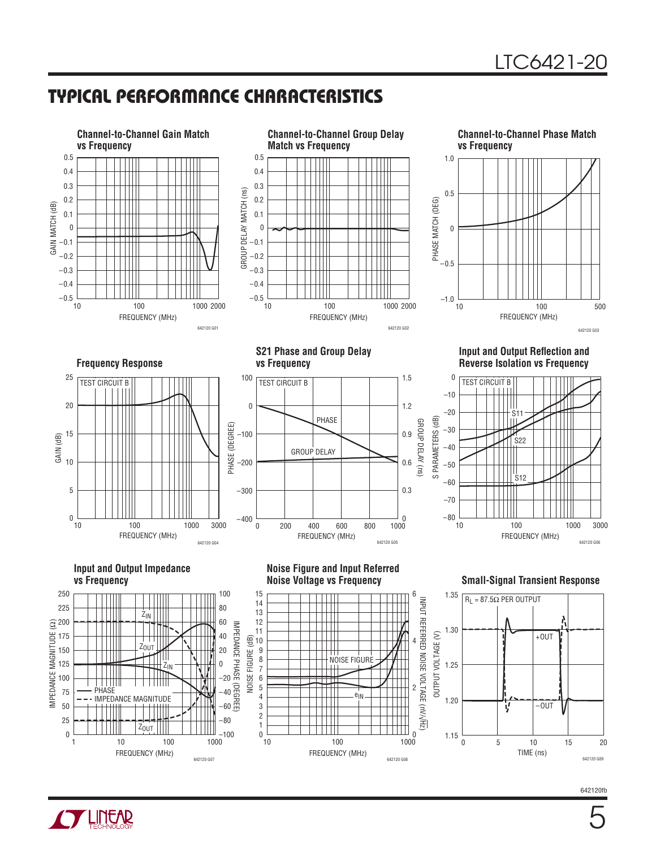## **TYPICAL PERFORMANCE CHARACTERISTICS**



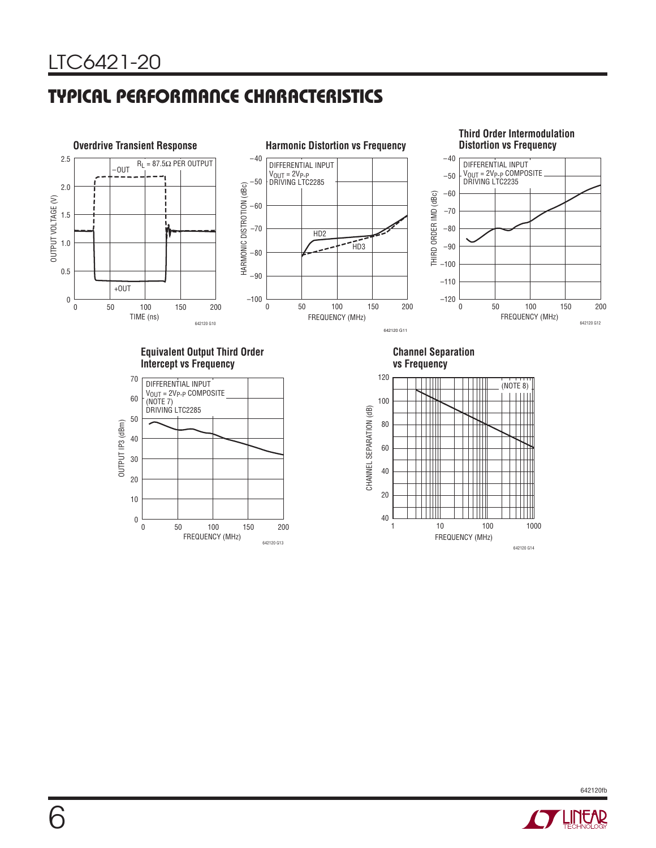## **TYPICAL PERFORMANCE CHARACTERISTICS**



**Equivalent Output Third Order Intercept vs Frequency**



**Channel Separation vs Frequency**





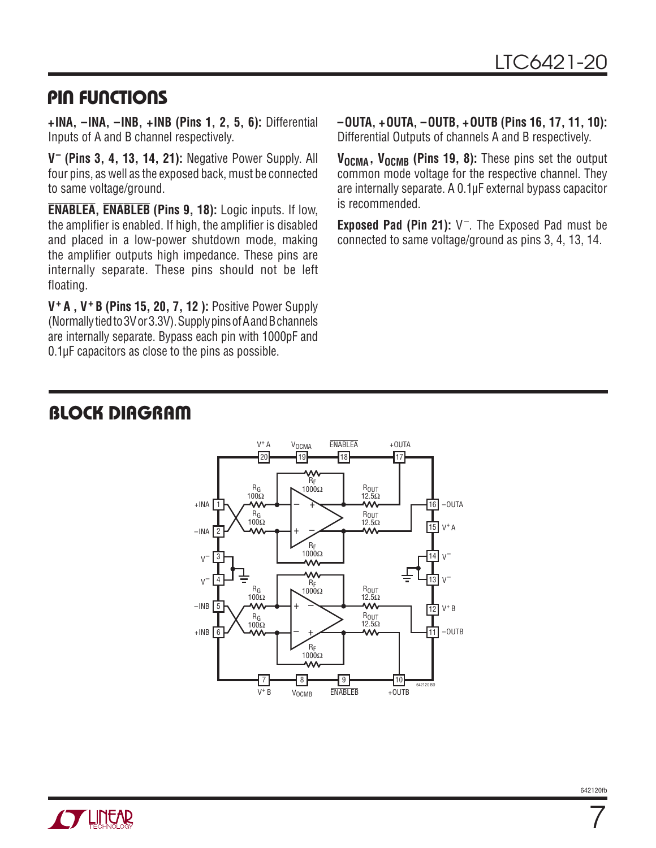#### **PIN FUNCTIONS**

**+INA, –INA, –INB, +INB (Pins 1, 2, 5, 6):** Differential Inputs of A and B channel respectively.

**V– (Pins 3, 4, 13, 14, 21):** Negative Power Supply. All four pins, as well as the exposed back, must be connected to same voltage/ground.

**ENABLEA, ENABLEB (Pins 9, 18):** Logic inputs. If low, the amplifier is enabled. If high, the amplifier is disabled and placed in a low-power shutdown mode, making the amplifier outputs high impedance. These pins are internally separate. These pins should not be left floating.

**V+ A , V+ B (Pins 15, 20, 7, 12 ):** Positive Power Supply (Normally tied to 3V or 3.3V). Supply pins of A and B channels are internally separate. Bypass each pin with 1000pF and 0.1μF capacitors as close to the pins as possible.

**–OUTA, +OUTA, –OUTB, +OUTB (Pins 16, 17, 11, 10):** Differential Outputs of channels A and B respectively.

V<sub>OCMA</sub>, V<sub>OCMB</sub> (Pins 19, 8): These pins set the output common mode voltage for the respective channel. They are internally separate. A 0.1μF external bypass capacitor is recommended.

**Exposed Pad (Pin 21):** V–. The Exposed Pad must be connected to same voltage/ground as pins 3, 4, 13, 14.

## **BLOCK DIAGRAM**





7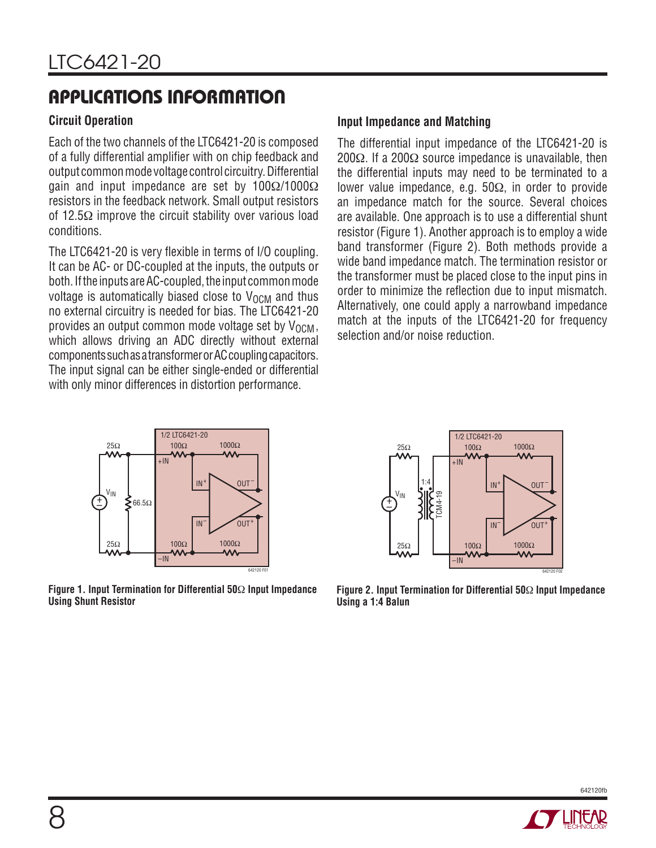#### **Circuit Operation**

Each of the two channels of the LTC6421-20 is composed of a fully differential amplifier with on chip feedback and output common mode voltage control circuitry. Differential gain and input impedance are set by 100Ω/1000Ω resistors in the feedback network. Small output resistors of 12.5 $\Omega$  improve the circuit stability over various load conditions.

The LTC6421-20 is very flexible in terms of I/O coupling. It can be AC- or DC-coupled at the inputs, the outputs or both. If the inputs are AC-coupled, the input common mode voltage is automatically biased close to  $V_{\text{OCM}}$  and thus no external circuitry is needed for bias. The LTC6421-20 provides an output common mode voltage set by  $V_{\Omega CM}$ , which allows driving an ADC directly without external components such as a transformer or AC coupling capacitors. The input signal can be either single-ended or differential with only minor differences in distortion performance.

#### **Input Impedance and Matching**

The differential input impedance of the LTC6421-20 is 200 $Ω$ . If a 200 $Ω$  source impedance is unavailable, then the differential inputs may need to be terminated to a lower value impedance, e.g. 50Ω, in order to provide an impedance match for the source. Several choices are available. One approach is to use a differential shunt resistor (Figure 1). Another approach is to employ a wide band transformer (Figure 2). Both methods provide a wide band impedance match. The termination resistor or the transformer must be placed close to the input pins in order to minimize the reflection due to input mismatch. Alternatively, one could apply a narrowband impedance match at the inputs of the LTC6421-20 for frequency selection and/or noise reduction.



**Figure 1. Input Termination for Differential 50**Ω **Input Impedance Using Shunt Resistor**



**Figure 2. Input Termination for Differential 50**Ω **Input Impedance Using a 1:4 Balun**

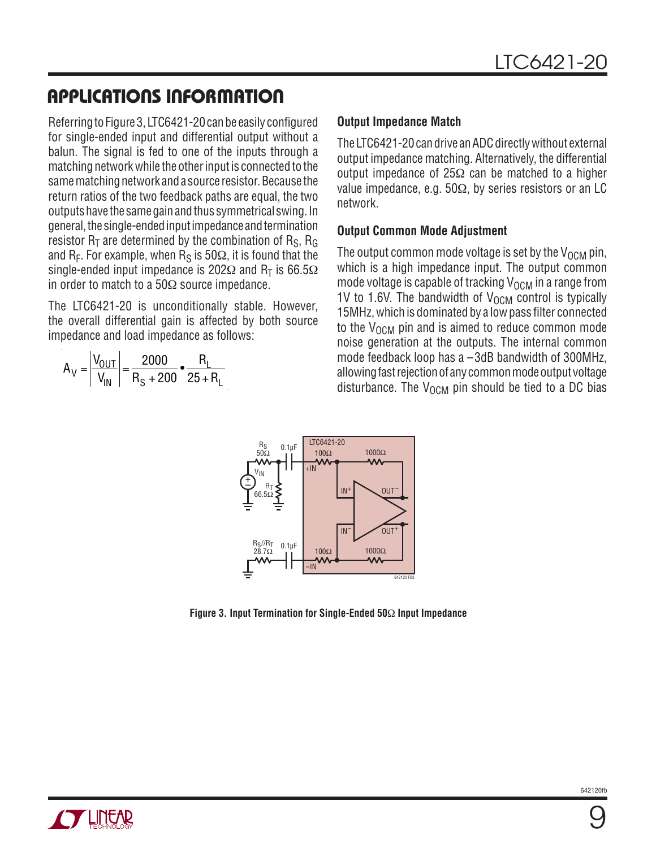Referring to Figure 3, LTC6421-20 can be easily configured for single-ended input and differential output without a balun. The signal is fed to one of the inputs through a matching network while the other input is connected to the same matching network and a source resistor. Because the return ratios of the two feedback paths are equal, the two outputs have the same gain and thus symmetrical swing. In general, the single-ended input impedance and termination resistor  $R_T$  are determined by the combination of  $R_S$ ,  $R_G$ and R<sub>F</sub>. For example, when R<sub>S</sub> is 50 $\Omega$ , it is found that the single-ended input impedance is 202 $\Omega$  and R<sub>T</sub> is 66.5 $\Omega$ in order to match to a  $50\Omega$  source impedance.

The LTC6421-20 is unconditionally stable. However, the overall differential gain is affected by both source impedance and load impedance as follows:

$$
A_V = \left| \frac{V_{OUT}}{V_{IN}} \right| = \frac{2000}{R_S + 200} \cdot \frac{R_L}{25 + R_L}
$$

#### **Output Impedance Match**

The LTC6421-20 can drive an ADC directly without external output impedance matching. Alternatively, the differential output impedance of 25 $\Omega$  can be matched to a higher value impedance, e.g.  $50\Omega$ , by series resistors or an LC network.

#### **Output Common Mode Adjustment**

The output common mode voltage is set by the  $V_{\Omega CM}$  pin, which is a high impedance input. The output common mode voltage is capable of tracking  $V_{\Omega CM}$  in a range from 1V to 1.6V. The bandwidth of  $V_{\text{OCM}}$  control is typically 15MHz, which is dominated by a low pass filter connected to the  $V_{\text{OCM}}$  pin and is aimed to reduce common mode noise generation at the outputs. The internal common mode feedback loop has a –3dB bandwidth of 300MHz, allowing fast rejection of any common mode output voltage disturbance. The  $V_{\text{OCM}}$  pin should be tied to a DC bias



**Figure 3. Input Termination for Single-Ended 50**Ω **Input Impedance**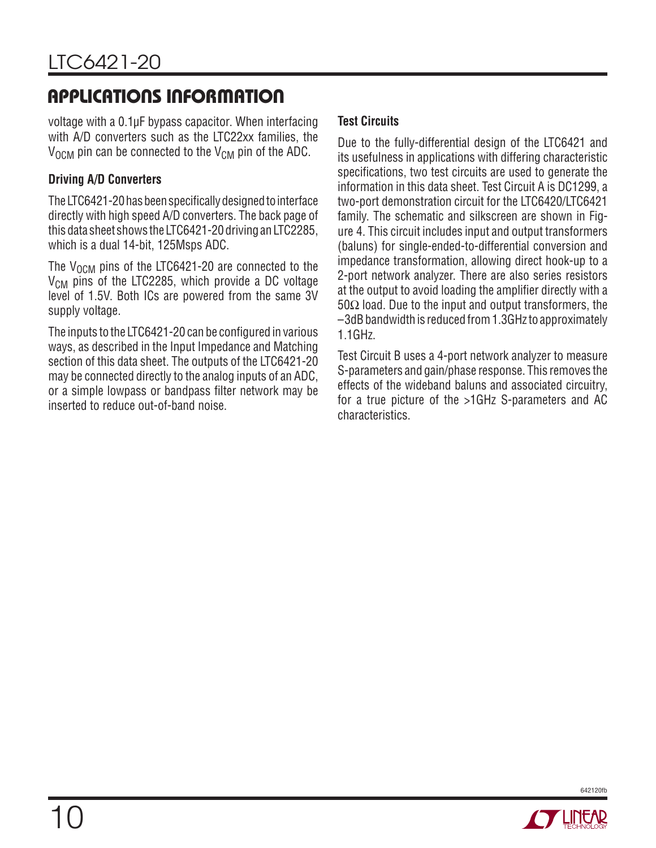voltage with a 0.1μF bypass capacitor. When interfacing with A/D converters such as the LTC22xx families, the  $V_{\text{OCM}}$  pin can be connected to the  $V_{\text{CM}}$  pin of the ADC.

#### **Driving A/D Converters**

The LTC6421-20 has been specifically designed to interface directly with high speed A/D converters. The back page of this data sheet shows the LTC6421-20 driving an LTC2285, which is a dual 14-bit, 125Msps ADC.

The  $V_{\text{OCM}}$  pins of the LTC6421-20 are connected to the  $V_{CM}$  pins of the LTC2285, which provide a DC voltage level of 1.5V. Both ICs are powered from the same 3V supply voltage.

The inputs to the LTC6421-20 can be configured in various ways, as described in the Input Impedance and Matching section of this data sheet. The outputs of the LTC6421-20 may be connected directly to the analog inputs of an ADC, or a simple lowpass or bandpass filter network may be inserted to reduce out-of-band noise.

#### **Test Circuits**

Due to the fully-differential design of the LTC6421 and its usefulness in applications with differing characteristic specifications, two test circuits are used to generate the information in this data sheet. Test Circuit A is DC1299, a two-port demonstration circuit for the LTC6420/LTC6421 family. The schematic and silkscreen are shown in Figure 4. This circuit includes input and output transformers (baluns) for single-ended-to-differential conversion and impedance transformation, allowing direct hook-up to a 2-port network analyzer. There are also series resistors at the output to avoid loading the amplifier directly with a 50Ω load. Due to the input and output transformers, the –3dB bandwidth is reduced from 1.3GHz to approximately 1.1GHz.

Test Circuit B uses a 4-port network analyzer to measure S-parameters and gain/phase response. This removes the effects of the wideband baluns and associated circuitry, for a true picture of the >1GHz S-parameters and AC characteristics.

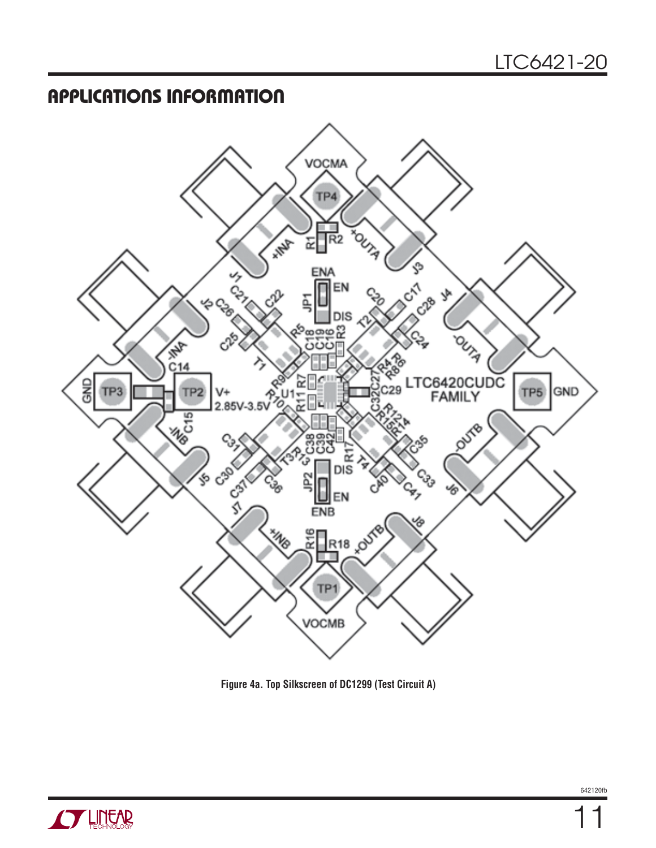

**Figure 4a. Top Silkscreen of DC1299 (Test Circuit A)**

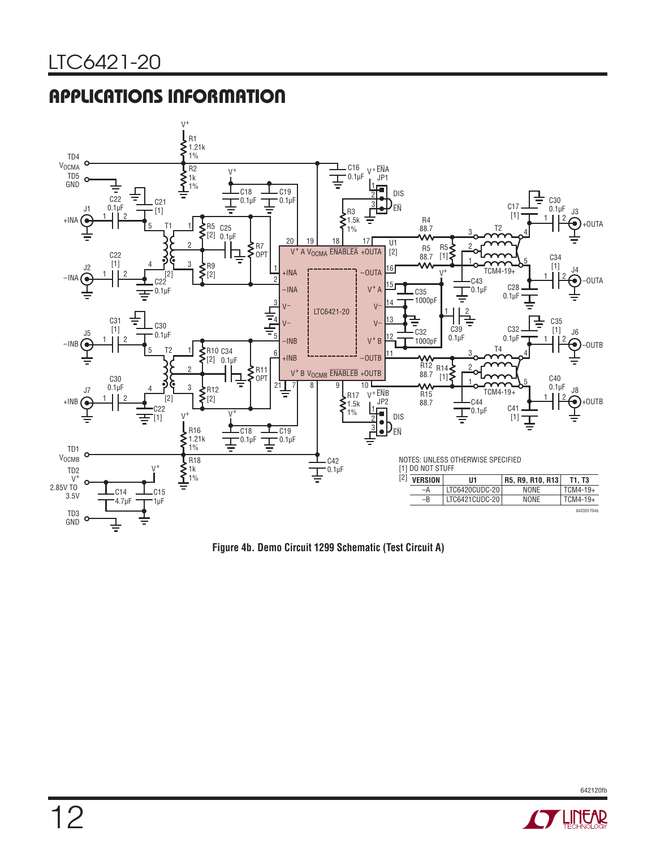

**Figure 4b. Demo Circuit 1299 Schematic (Test Circuit A)**

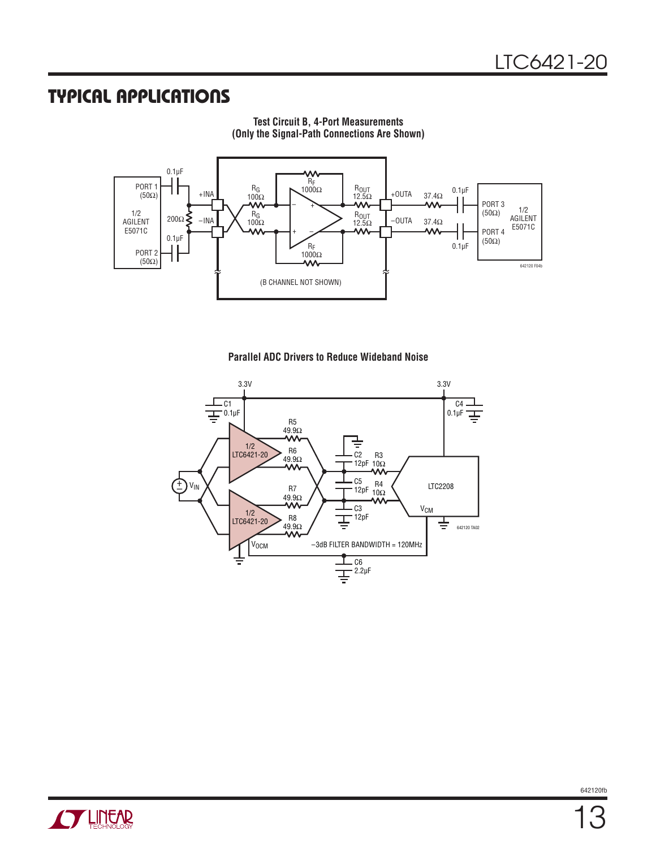#### **TYPICAL APPLICATIONS**



**Test Circuit B, 4-Port Measurements (Only the Signal-Path Connections Are Shown)**

#### **Parallel ADC Drivers to Reduce Wideband Noise**



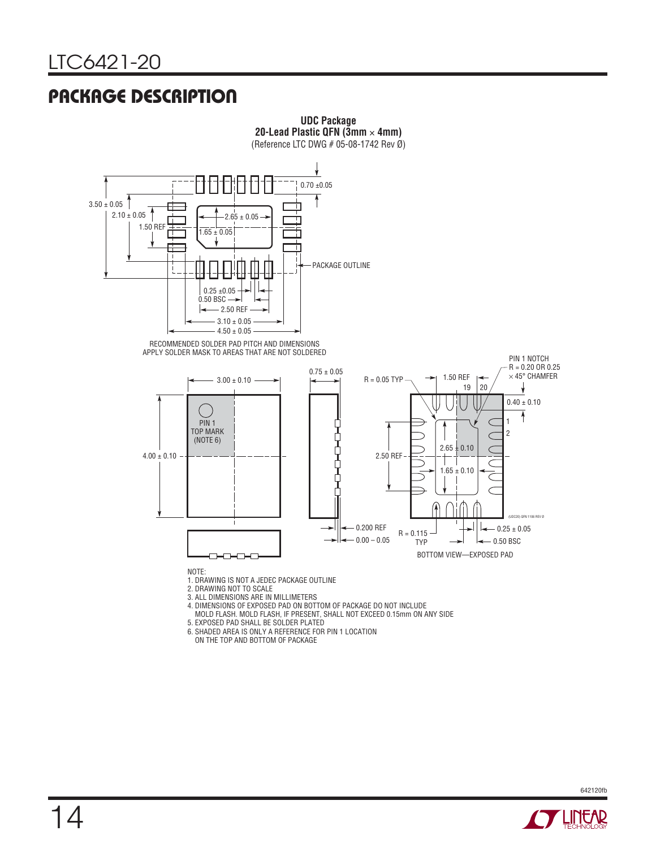## **PACKAGE DESCRIPTION**



**UDC Package**

4. DIMENSIONS OF EXPOSED PAD ON BOTTOM OF PACKAGE DO NOT INCLUDE

MOLD FLASH. MOLD FLASH, IF PRESENT, SHALL NOT EXCEED 0.15mm ON ANY SIDE

5. EXPOSED PAD SHALL BE SOLDER PLATED

6. SHADED AREA IS ONLY A REFERENCE FOR PIN 1 LOCATION

ON THE TOP AND BOTTOM OF PACKAGE

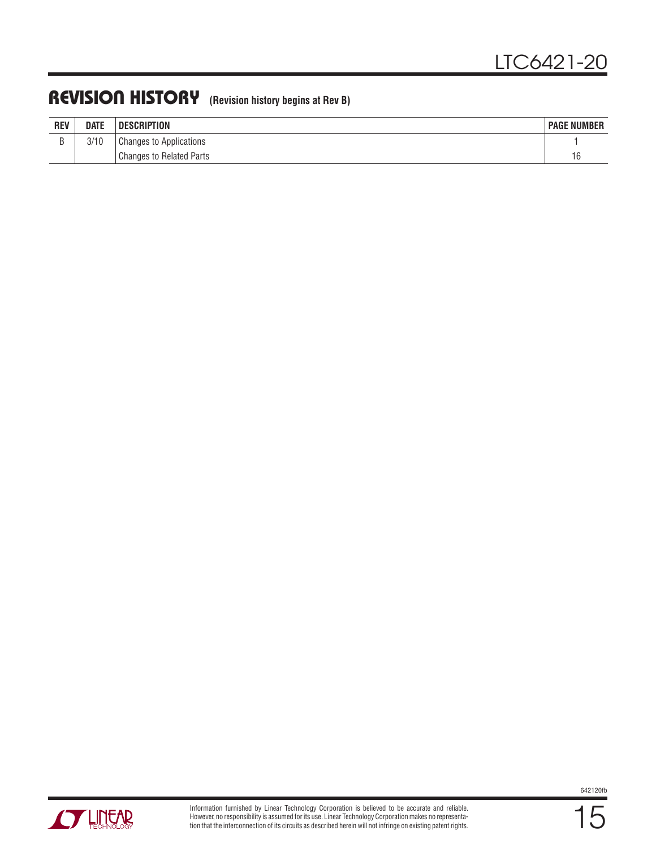## **REVISION HISTORY (Revision history begins at Rev B)**

| <b>REV</b> | <b>DATE</b> | DESCRIPTION                     | <b>PAGE NUMBER</b>   |
|------------|-------------|---------------------------------|----------------------|
|            | 3/10        | <b>Changes to Applications</b>  |                      |
|            |             | <b>Changes to Related Parts</b> | $\overline{a}$<br>١c |



**STARTED BY LINEAR**